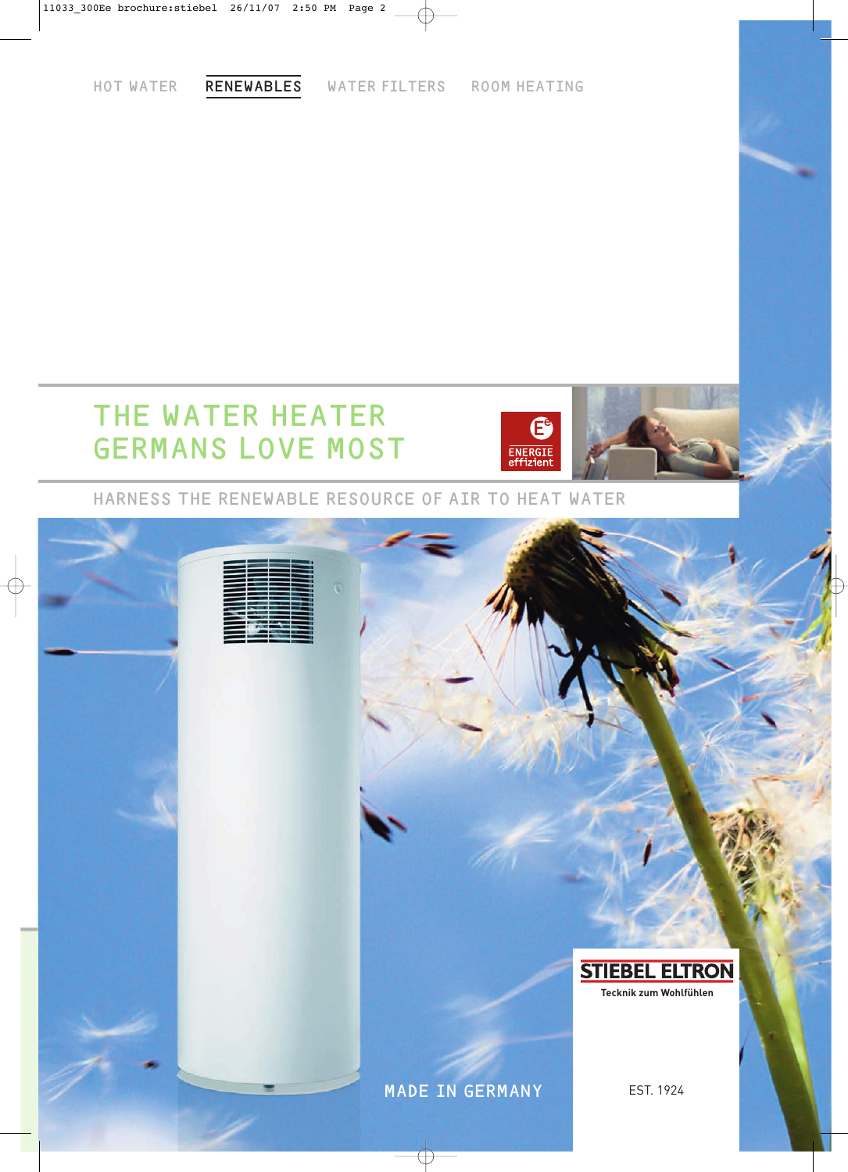HOT WATER RENEWABLES WATER FILTERS ROOM HEATING

# THE WATER HEATER GERMANS LOVE MOST



HARNESS THE RENEWABLE RESOURCE OF AIR TO HEAT WATER

# **STIEBEL ELTRON Tecknik zum Wohlfühlen** MADE IN GERMANY EST. 1924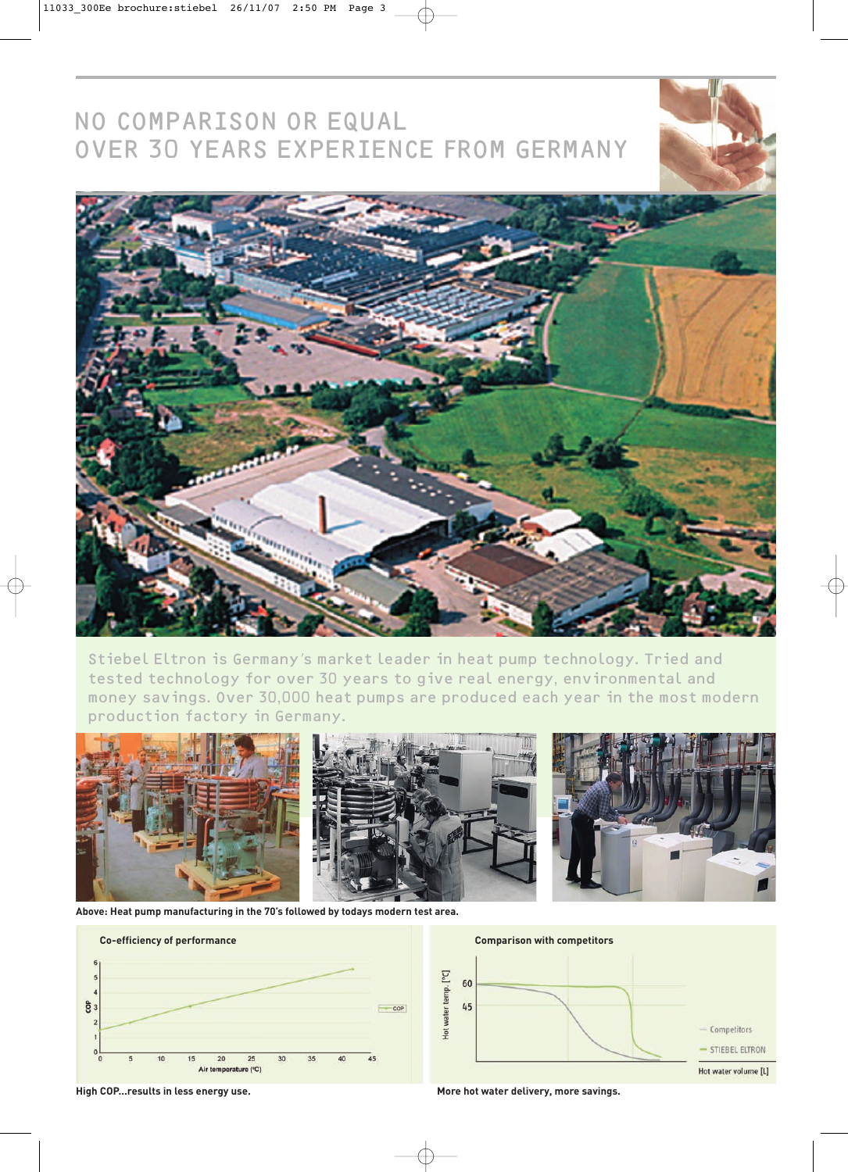# NO COMPARISON OR EQUAL OVER 30 YEARS EXPERIENCE FROM GERMANY



 $\bigoplus$ 

Stiebel Eltron is Germany's market leader in heat pump technology. Tried and tested technology for over 30 years to give real energy, environmental and money savings. Over 30,000 heat pumps are produced each year in the most modern production factory in Germany.



**Above: Heat pump manufacturing in the 70's followed by todays modern test area.**





**High COP...results in less energy use.**

**More hot water delivery, more savings.**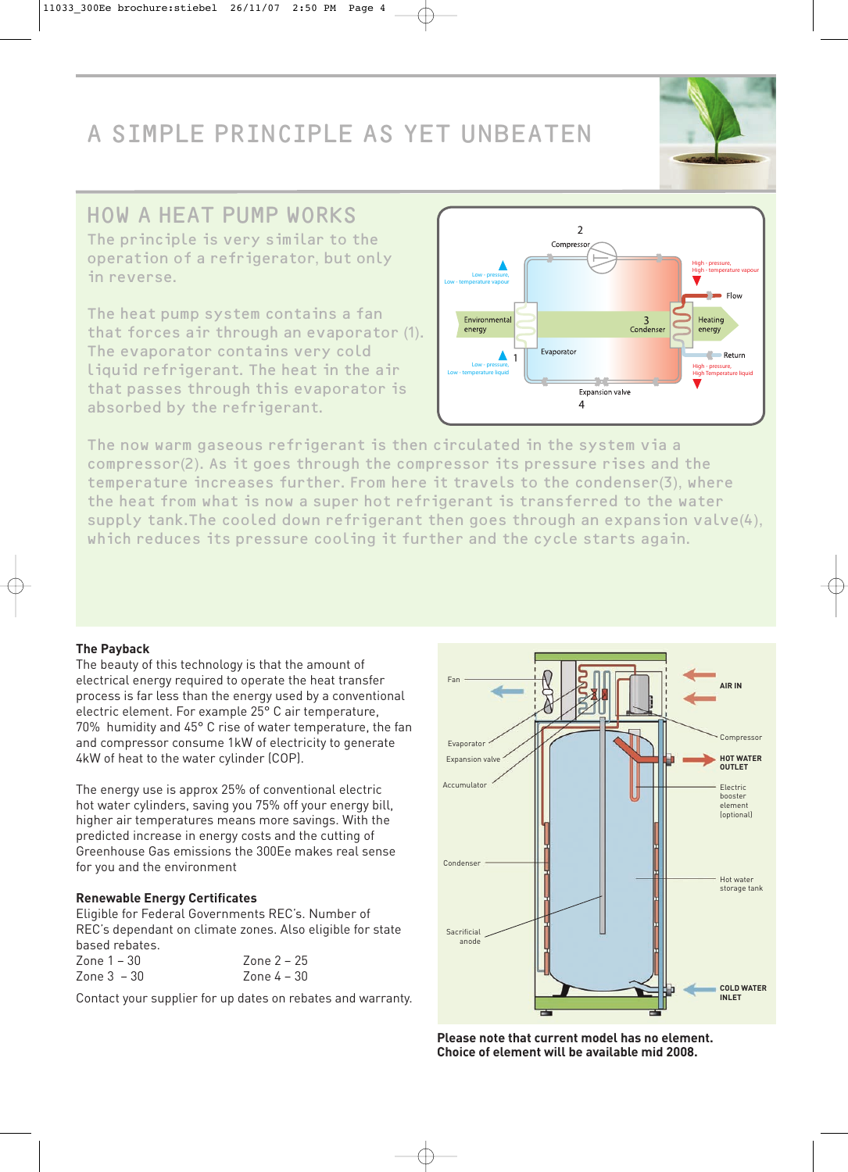# A SIMPLE PRINCIPLE AS YET UNBEATEN

## HOW A HEAT PUMP WORKS

The principle is very similar to the operation of a refrigerator, but only in reverse.

The heat pump system contains a fan that forces air through an evaporator (1). The evaporator contains very cold liquid refrigerant. The heat in the air that passes through this evaporator is absorbed by the refrigerant.



The now warm gaseous refrigerant is then circulated in the system via a compressor(2). As it goes through the compressor its pressure rises and the temperature increases further. From here it travels to the condenser(3), where the heat from what is now a super hot refrigerant is transferred to the water supply tank.The cooled down refrigerant then goes through an expansion valve(4), which reduces its pressure cooling it further and the cycle starts again.

### **The Payback**

The beauty of this technology is that the amount of electrical energy required to operate the heat transfer process is far less than the energy used by a conventional electric element. For example 25° C air temperature, 70% humidity and 45° C rise of water temperature, the fan and compressor consume 1kW of electricity to generate 4kW of heat to the water cylinder (COP).

The energy use is approx 25% of conventional electric hot water cylinders, saving you 75% off your energy bill, higher air temperatures means more savings. With the predicted increase in energy costs and the cutting of Greenhouse Gas emissions the 300Ee makes real sense for you and the environment

### **Renewable Energy Certificates**

Eligible for Federal Governments REC's. Number of REC's dependant on climate zones. Also eligible for state based rebates.

| Zone 1 – 30   | Zone $2 - 25$  |
|---------------|----------------|
| Zone $3 - 30$ | $7$ one 4 – 30 |

Contact your supplier for up dates on rebates and warranty.



**Please note that current model has no element. Choice of element will be available mid 2008.**